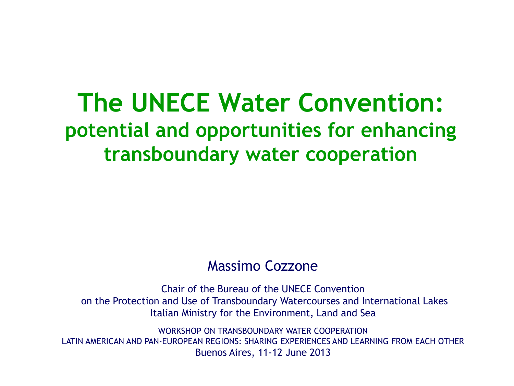#### **The UNECE Water Convention: potential and opportunities for enhancing transboundary water cooperation**

#### Massimo Cozzone

Chair of the Bureau of the UNECE Convention on the Protection and Use of Transboundary Watercourses and International Lakes Italian Ministry for the Environment, Land and Sea

WORKSHOP ON TRANSBOUNDARY WATER COOPERATION LATIN AMERICAN AND PAN-EUROPEAN REGIONS: SHARING EXPERIENCES AND LEARNING FROM EACH OTHER Buenos Aires, 11-12 June 2013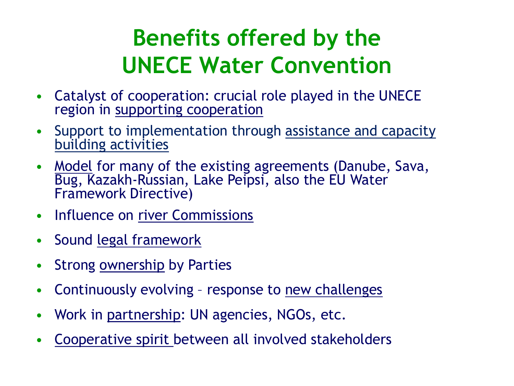## **Benefits offered by the UNECE Water Convention**

- Catalyst of cooperation: crucial role played in the UNECE region in supporting cooperation
- Support to implementation through assistance and capacity building activities
- Model for many of the existing agreements (Danube, Sava, Bug, Kazakh-Russian, Lake Peipsi, also the EU Water Framework Directive)
- Influence on river Commissions
- Sound legal framework
- Strong **ownership** by Parties
- Continuously evolving response to new challenges
- Work in partnership: UN agencies, NGOs, etc.
- Cooperative spirit between all involved stakeholders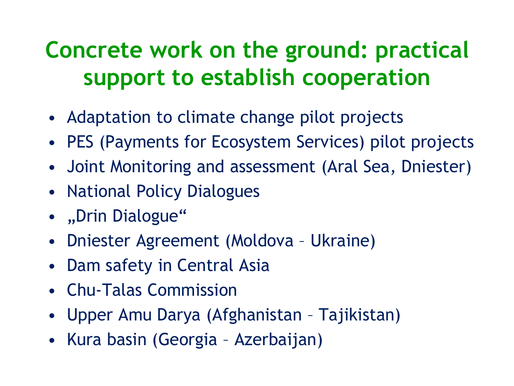## **Concrete work on the ground: practical support to establish cooperation**

- Adaptation to climate change pilot projects
- PES (Payments for Ecosystem Services) pilot projects
- Joint Monitoring and assessment (Aral Sea, Dniester)
- National Policy Dialogues
- "Drin Dialogue"
- Dniester Agreement (Moldova Ukraine)
- Dam safety in Central Asia
- Chu-Talas Commission
- Upper Amu Darya (Afghanistan Tajikistan)
- Kura basin (Georgia Azerbaijan)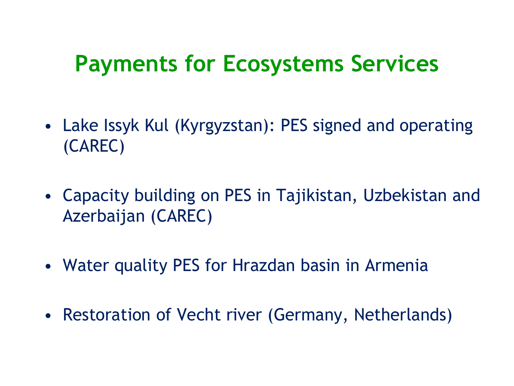#### **Payments for Ecosystems Services**

- Lake Issyk Kul (Kyrgyzstan): PES signed and operating (CAREC)
- Capacity building on PES in Tajikistan, Uzbekistan and Azerbaijan (CAREC)
- Water quality PES for Hrazdan basin in Armenia
- Restoration of Vecht river (Germany, Netherlands)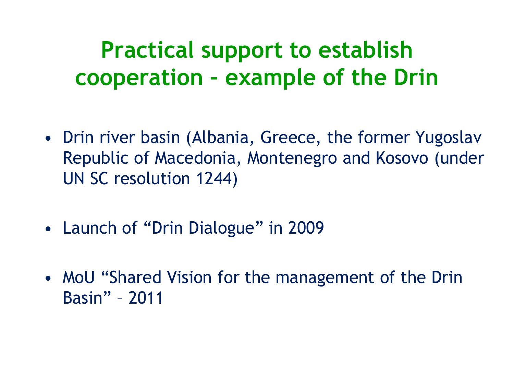#### **Practical support to establish cooperation – example of the Drin**

- Drin river basin (Albania, Greece, the former Yugoslav Republic of Macedonia, Montenegro and Kosovo (under UN SC resolution 1244)
- Launch of "Drin Dialogue" in 2009
- MoU "Shared Vision for the management of the Drin Basin" – 2011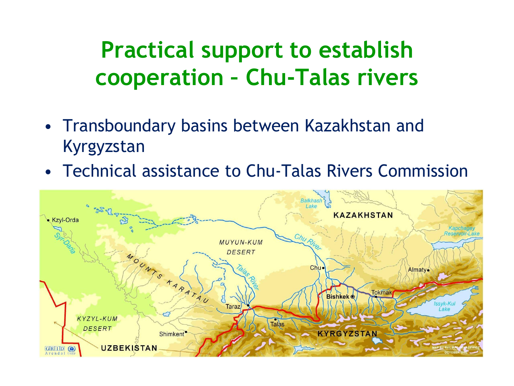## **Practical support to establish cooperation – Chu-Talas rivers**

- Transboundary basins between Kazakhstan and Kyrgyzstan
- Technical assistance to Chu-Talas Rivers Commission

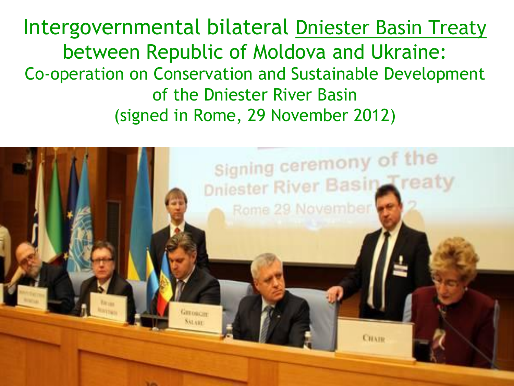Intergovernmental bilateral Dniester Basin Treaty between Republic of Moldova and Ukraine: Co-operation on Conservation and Sustainable Development of the Dniester River Basin (signed in Rome, 29 November 2012)

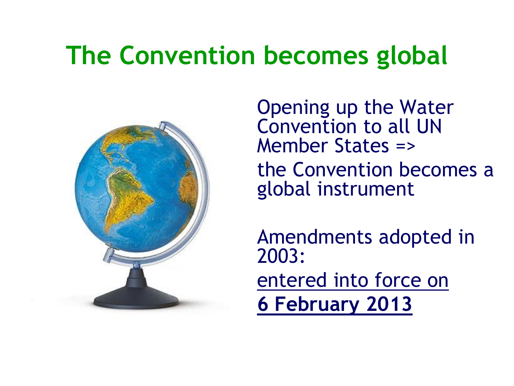# **The Convention becomes global**



**Opening up the Water** Convention to all UN Member States => the Convention becomes a global instrument

• Amendments adopted in 2003:

• entered into force on

• **6 February 2013**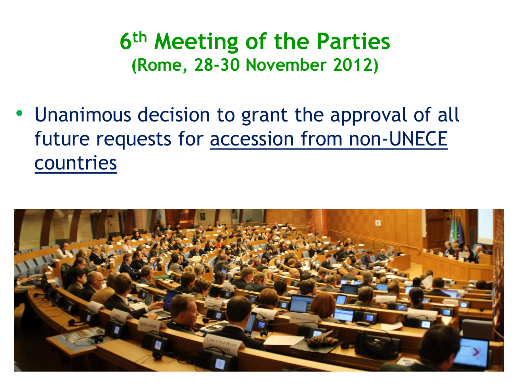**6 th Meeting of the Parties (Rome, 28-30 November 2012)**

• Unanimous decision to grant the approval of all future requests for accession from non-UNECE countries

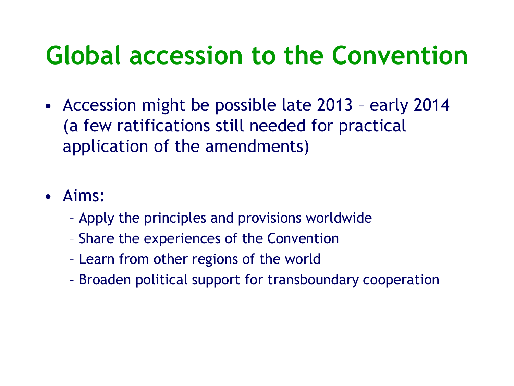# **Global accession to the Convention**

- Accession might be possible late 2013 early 2014 (a few ratifications still needed for practical application of the amendments)
- Aims:
	- Apply the principles and provisions worldwide
	- Share the experiences of the Convention
	- Learn from other regions of the world
	- Broaden political support for transboundary cooperation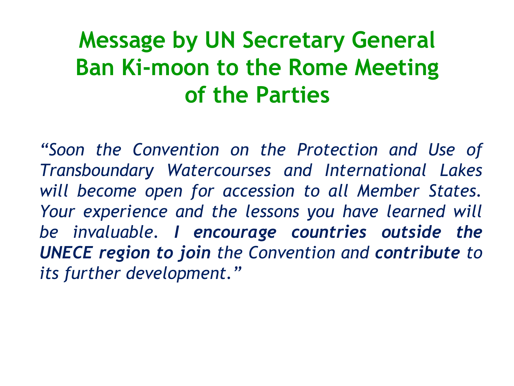## **Message by UN Secretary General Ban Ki-moon to the Rome Meeting of the Parties**

*"Soon the Convention on the Protection and Use of Transboundary Watercourses and International Lakes will become open for accession to all Member States. Your experience and the lessons you have learned will be invaluable. I encourage countries outside the UNECE region to join the Convention and contribute to its further development."*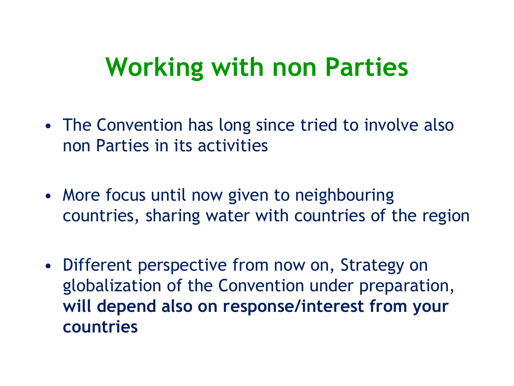## **Working with non Parties**

- The Convention has long since tried to involve also non Parties in its activities
- More focus until now given to neighbouring countries, sharing water with countries of the region
- Different perspective from now on, Strategy on globalization of the Convention under preparation, **will depend also on response/interest from your countries**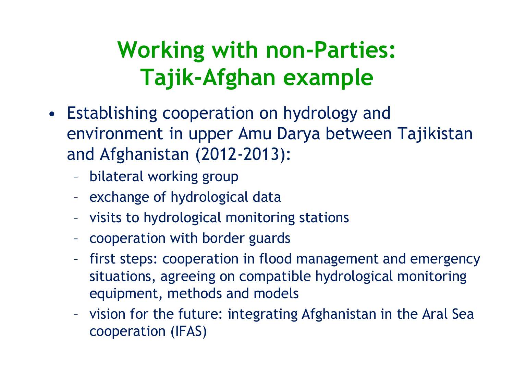## **Working with non-Parties: Tajik-Afghan example**

- Establishing cooperation on hydrology and environment in upper Amu Darya between Tajikistan and Afghanistan (2012-2013):
	- bilateral working group
	- exchange of hydrological data
	- visits to hydrological monitoring stations
	- cooperation with border guards
	- first steps: cooperation in flood management and emergency situations, agreeing on compatible hydrological monitoring equipment, methods and models
	- vision for the future: integrating Afghanistan in the Aral Sea cooperation (IFAS)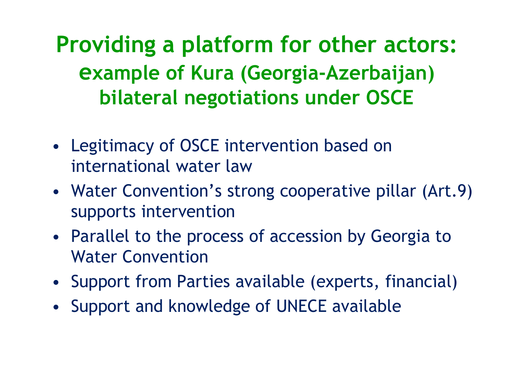**Providing a platform for other actors: example of Kura (Georgia-Azerbaijan) bilateral negotiations under OSCE**

- Legitimacy of OSCE intervention based on international water law
- Water Convention's strong cooperative pillar (Art.9) supports intervention
- Parallel to the process of accession by Georgia to Water Convention
- Support from Parties available (experts, financial)
- Support and knowledge of UNECE available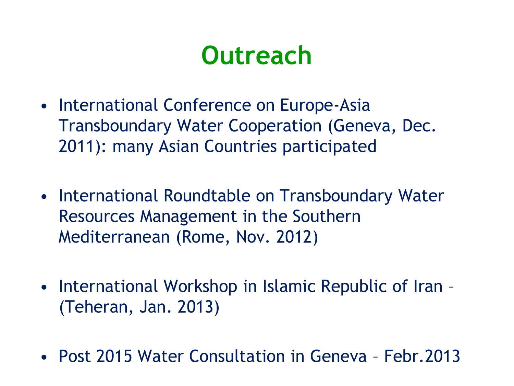# **Outreach**

- International Conference on Europe-Asia Transboundary Water Cooperation (Geneva, Dec. 2011): many Asian Countries participated
- International Roundtable on Transboundary Water Resources Management in the Southern Mediterranean (Rome, Nov. 2012)
- International Workshop in Islamic Republic of Iran (Teheran, Jan. 2013)
- Post 2015 Water Consultation in Geneva Febr.2013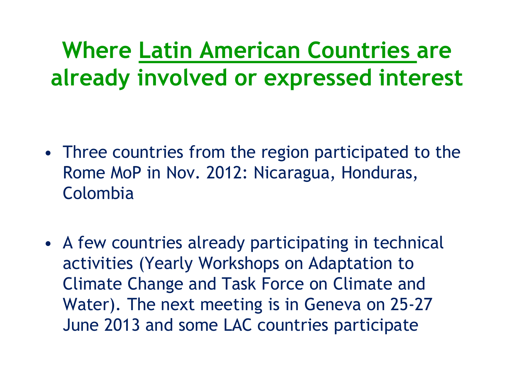**Where Latin American Countries are already involved or expressed interest**

- Three countries from the region participated to the Rome MoP in Nov. 2012: Nicaragua, Honduras, Colombia
- A few countries already participating in technical activities (Yearly Workshops on Adaptation to Climate Change and Task Force on Climate and Water). The next meeting is in Geneva on 25-27 June 2013 and some LAC countries participate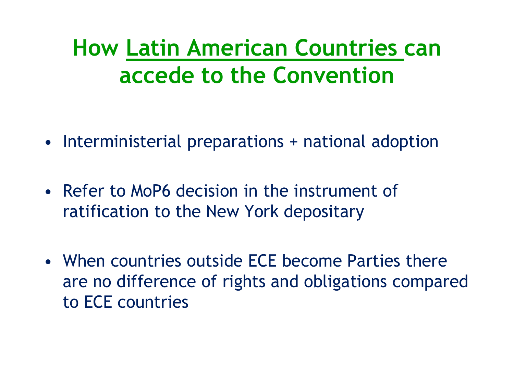## **How Latin American Countries can accede to the Convention**

- Interministerial preparations + national adoption
- Refer to MoP6 decision in the instrument of ratification to the New York depositary
- When countries outside ECE become Parties there are no difference of rights and obligations compared to ECE countries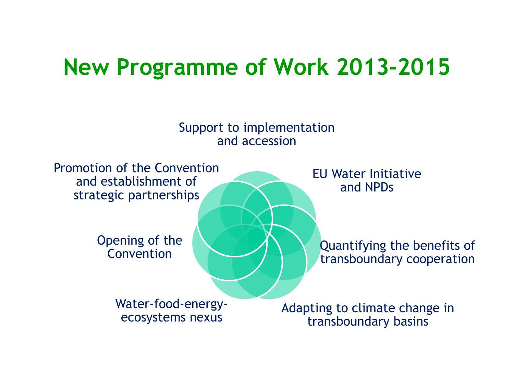#### **New Programme of Work 2013-2015**

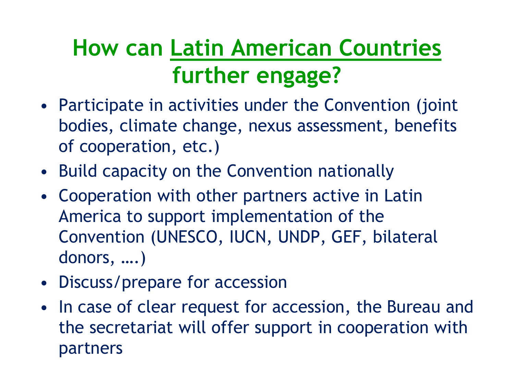## **How can Latin American Countries further engage?**

- Participate in activities under the Convention (joint bodies, climate change, nexus assessment, benefits of cooperation, etc.)
- Build capacity on the Convention nationally
- Cooperation with other partners active in Latin America to support implementation of the Convention (UNESCO, IUCN, UNDP, GEF, bilateral donors, ….)
- Discuss/prepare for accession
- In case of clear request for accession, the Bureau and the secretariat will offer support in cooperation with partners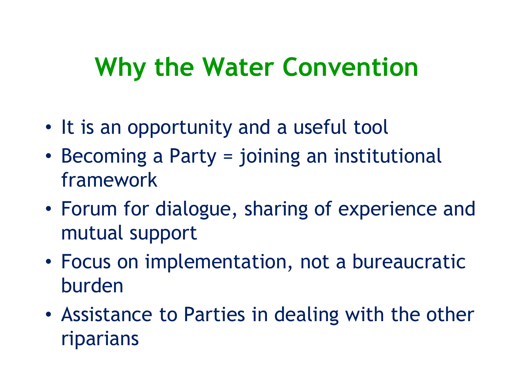# **Why the Water Convention**

- It is an opportunity and a useful tool
- Becoming a Party = joining an institutional framework
- Forum for dialogue, sharing of experience and mutual support
- Focus on implementation, not a bureaucratic burden
- Assistance to Parties in dealing with the other riparians